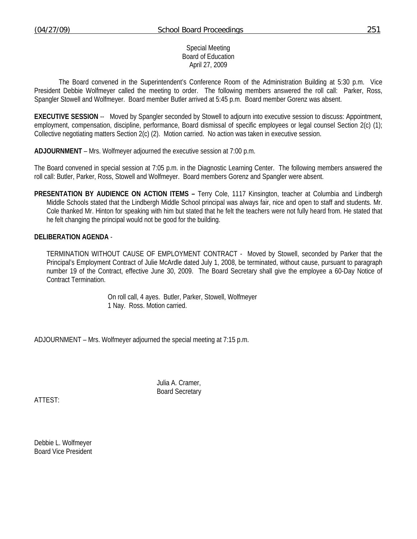## Special Meeting Board of Education April 27, 2009

 The Board convened in the Superintendent's Conference Room of the Administration Building at 5:30 p.m. Vice President Debbie Wolfmeyer called the meeting to order. The following members answered the roll call: Parker, Ross, Spangler Stowell and Wolfmeyer. Board member Butler arrived at 5:45 p.m. Board member Gorenz was absent.

**EXECUTIVE SESSION** -- Moved by Spangler seconded by Stowell to adjourn into executive session to discuss: Appointment, employment, compensation, discipline, performance, Board dismissal of specific employees or legal counsel Section 2(c) (1); Collective negotiating matters Section 2(c) (2). Motion carried. No action was taken in executive session.

**ADJOURNMENT** – Mrs. Wolfmeyer adjourned the executive session at 7:00 p.m.

The Board convened in special session at 7:05 p.m. in the Diagnostic Learning Center. The following members answered the roll call: Butler, Parker, Ross, Stowell and Wolfmeyer. Board members Gorenz and Spangler were absent.

**PRESENTATION BY AUDIENCE ON ACTION ITEMS –** Terry Cole, 1117 Kinsington, teacher at Columbia and Lindbergh Middle Schools stated that the Lindbergh Middle School principal was always fair, nice and open to staff and students. Mr. Cole thanked Mr. Hinton for speaking with him but stated that he felt the teachers were not fully heard from. He stated that he felt changing the principal would not be good for the building.

## **DELIBERATION AGENDA** -

TERMINATION WITHOUT CAUSE OF EMPLOYMENT CONTRACT - Moved by Stowell, seconded by Parker that the Principal's Employment Contract of Julie McArdle dated July 1, 2008, be terminated, without cause, pursuant to paragraph number 19 of the Contract, effective June 30, 2009. The Board Secretary shall give the employee a 60-Day Notice of Contract Termination.

> On roll call, 4 ayes. Butler, Parker, Stowell, Wolfmeyer 1 Nay. Ross. Motion carried.

ADJOURNMENT – Mrs. Wolfmeyer adjourned the special meeting at 7:15 p.m.

 Julia A. Cramer, Board Secretary

ATTEST:

Debbie L. Wolfmeyer Board Vice President